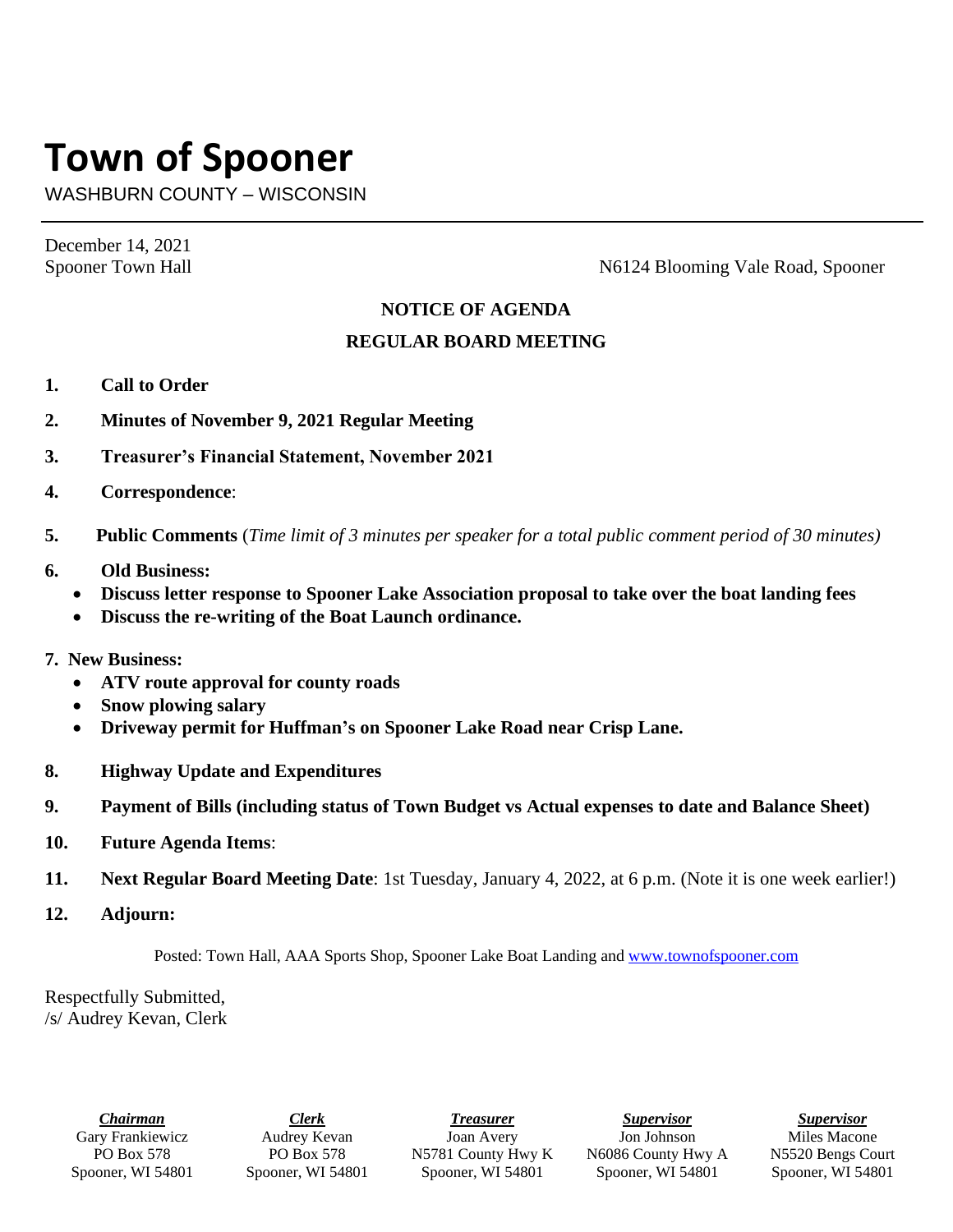## **Town of Spooner**

WASHBURN COUNTY – WISCONSIN

December 14, 2021

Spooner Town Hall Spooner Town Hall Spooner Town Hall Spooner N6124 Blooming Vale Road, Spooner

## **NOTICE OF AGENDA**

## **REGULAR BOARD MEETING**

- **1. Call to Order**
- **2. Minutes of November 9, 2021 Regular Meeting**
- **3. Treasurer's Financial Statement, November 2021**
- **4. Correspondence**:
- **5. Public Comments** (*Time limit of 3 minutes per speaker for a total public comment period of 30 minutes)*
- **6. Old Business:**
	- **Discuss letter response to Spooner Lake Association proposal to take over the boat landing fees**
	- **Discuss the re-writing of the Boat Launch ordinance.**
- **7. New Business:**
	- **ATV route approval for county roads**
	- **Snow plowing salary**
	- **Driveway permit for Huffman's on Spooner Lake Road near Crisp Lane.**
- **8. Highway Update and Expenditures**
- **9. Payment of Bills (including status of Town Budget vs Actual expenses to date and Balance Sheet)**
- **10. Future Agenda Items**:
- **11. Next Regular Board Meeting Date**: 1st Tuesday, January 4, 2022, at 6 p.m. (Note it is one week earlier!)
- **12. Adjourn:**

Posted: Town Hall, AAA Sports Shop, Spooner Lake Boat Landing and [www.townofspooner.com](http://www.townofspooner.com/)

Respectfully Submitted, /s/ Audrey Kevan, Clerk

> *Chairman* Gary Frankiewicz PO Box 578 Spooner, WI 54801

*Clerk* Audrey Kevan PO Box 578 Spooner, WI 54801

*Treasurer* Joan Avery N5781 County Hwy K Spooner, WI 54801

*Supervisor* Jon Johnson N6086 County Hwy A Spooner, WI 54801

*Supervisor* Miles Macone N5520 Bengs Court Spooner, WI 54801